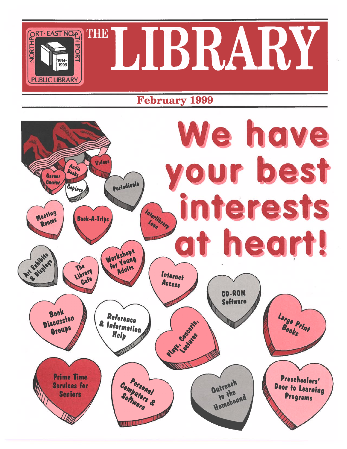

## February 1999

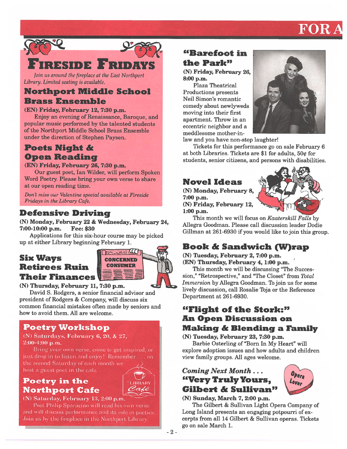# FOR



Join us around the fireplace at the East Northport Library. Limited seating is available.

# Northport Middle School

## Brass Ensemble

#### (EN) Friday, February 12, 7:30 p.m.

Enjoy an evening of Renaissance, Baroque, and popular music performed by the talented students of the Northport Middle School Brass Ensemble under the direction of Stephen Paysen.

## Poets Night &Open Reading

(EN) Friday, February 26, 7:30 p.m.

Our gues<sup>t</sup> poet, Ian Wilder, will perform Spoken Word Poetry. Please bring your own verse to share at our open reading time.

Don't miss our Valentine special available at Fireside Fridays in the Library Cafe.

#### Defensive Driving

(N) Monday, February 22 & Wednesday, February 24, 7:00-10:00 p.m. **Fee: \$30** 

Applications for this six-hour course may be <sup>p</sup>icked up at either Library beginning February 1.

#### Six Ways CONCERNED Retirees RuinTheir Finances



(N) Thursday, February 11, 7:30 p.m.

David S. Rodgers, a senior financial advisor and president of Rodgers & Company, will discuss six common financial mistakes often made by seniors and how to avoid them. All are welcome.

#### Poetry Workshop

#### (N) Saturdays, February 6, 20, & 27, 2:00-4:00 p.m.

Bring your own verse, come to ge<sup>t</sup> inspired, or just drop in to listen and enjoy! Remember.., on the second Saturday of each month we host a gues<sup>t</sup> poe<sup>t</sup> in the cafe

# Poetry in the LIBRARY

# **Northport Cafe**  $\sqrt{C_4e}$ <br>(N) Saturday, February 13, 2:00 p.m.

Poet Philip Sparacino will read his own verse and will discuss performance and its role in poetics. Join us by the fireplace in the Northport Library.

## "Barefoot inthe Park"

(N) Friday, February 26, 8:00 p.m.

Plaza Theatrical Productions presents Neil Simon's romanticcomedy about newlyweds moving into their first apartment. Throw in an eccentric neighbor and a meddlesome mother-in-



law and you have non-stop laughter

Tickets for this performance go on sale February 6 at both Libraries. Tickets are \$1 for adults,  $50¢$  for students, senior citizens, and persons with disabilities.

## Novel Ideas

(N) Monday, February 8,  $7:00$  p.m. (N) Friday, February 12, 1:00 p.m.



Opera

This month we will focus on Kaaterskill Falls by Allegra Goodman. Please call discussion leader Dodie Gillman at 261-6930 if you would like to join this group.

## Book & Sandwich (W)rap

(N) Tuesday, February 2, 7:00 p.m. (EN) Thursday, February 4, 1:00 p.m.

This month we will be discussing "The Succes sion," "Retrospective," and "The Closet" from Total Immersion by Allegra Goodman. To join us for some lively discussion, call Rosalie Toja or the Reference Department at 261-6930.

#### "Flight of the Stork:" An Open Discussion on Making & Blending a Family

(N) Tuesday, February 23, 7:30 p.m.

Barbie 0sterling of "Born In My Heart" will explore adoption issues and how adults and children view family groups. All ages welcome.

#### Coming Next Month... "Very Truly Yours, Gilbert & Sullivan"

(N) Sunday, March 7, 2:00 p.m.

The Gilbert & Sullivan Light Opera Company of Long Island presents an engaging potpourri of ex cerpts from all 14 Gilbert & Sullivan operas. Tickets go on sale March 1.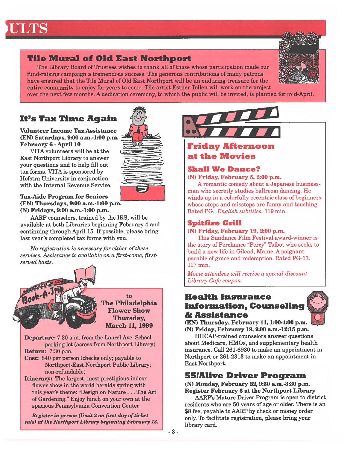#### Tile Mural of Old East Northport

The Library Board of Trustees wishes to thank all of those whose participation made our fund-raising campaign <sup>a</sup> tremendous success. The generous contributions of many patrons have ensured that the Tile Mural of Old East Northport will be an enduring treasure for the entire community to enjoy for years to come. Tile artist Esther Tollen will work on the project



over the next few months. A dedication ceremony, to which the public will be invited, is planned for mid-April.

#### It's Tax Time Again

Volunteer Income Tax Assistance (EN) Saturdays, 9:00 a.m.-1:00 p.m. February 6 - April 10

VITA volunteers will be at the East Northport Library to answer your questions and to help fill out tax forms. VITA is sponsored by Hofstra University in conjunction with the Internal Revenue Service.

#### Tax-Aide Program for Seniors (EN) Thursdays, 9:00 a.m.-1:00 p.m. (N) Fridays, 9:00 a.m.-1:00 p.m.

AARP counselors, trained by the IRS, will be available at both Libraries beginning February 4 and continuing through April 15. If possible, please bring last year's completed tax forms with you.

No registration is necessary for either of these services. Assistance is available on <sup>a</sup> first-come, firstserved basis.



The Philadelphia Flower ShowThursday, March 11, 1999

to

Departure: 7:30 a.m. from the Laurel Ave. School parking lot (across from Northport Library) Return: 7:30 p.m.

Cost: \$40 per person (checks only; payable to Northport-East Northport Public Library; non-refundable)

Itinerary: The largest, most prestigious indoor flower show in the world heralds spring with this year's theme: "Design on Nature. . . The Art of Gardening." Enjoy lunch on your own at the spacious Pennsylvania Convention Center.

Register in person (limit 2 on first day of ticket sale) at the Northport Library beginning February 13.



#### Friday Afternoon at the Movies

#### Shall We Dance?

 $(N)$  Friday, February 5, 2:00 p.m.

A romantic comedy about <sup>a</sup> Japanese business man who secretly studies ballroom dancing. He winds up in <sup>a</sup> colorfully eccentric class of beginners whose steps and missteps are funny and touching. Rated PG. *English subtitles*. 119 min

#### Spitfire Grill

#### (N) Friday, February 19,2:00 p.m.

This Sundance Film Festival award-winner is the story of Perchance "Percy" Talbot who seeks to build a new life in Gilead, Maine. A poignant parable of grace and redemption. Rated PG-13. 117 min

Movie attendees will receive <sup>a</sup> special discount Library Cafe coupon.

#### Health InsuranceInformation, Counseling <sup>i</sup> & Assistance

(EN) Thursday, February 11, 1:00-4:00 p.m. (N) Friday, February 19,9:00 a.m.-12:15 p.m.

HIICAP-trained counselors answer questions about Medicare, HMOs, and supplementary health insurance. Call 261-6930 to make an appointment in Northport or 261-2313 to make an appointment in East Northport.

#### 55IAlive Driver Program

(N) Monday, February 22, 9:30 a.m.-3:30 p.m. Register February 6 at the Northport Library

AARP's Mature Driver Program is open to district residents who are 50 years of age or older. There is an \$8 fee, payable to AARP by check or money order only. To facilitate registration, please bring your library card.

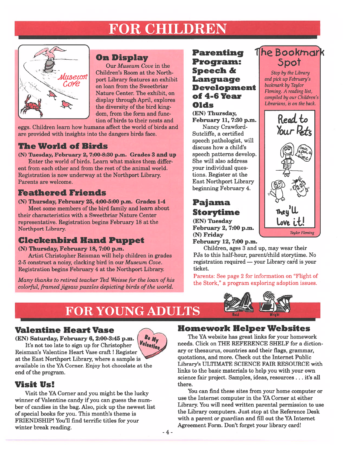# FOR CHILDREN



#### On Display

Our Museum Cove in the Children's Room at the Northpor<sup>t</sup> Library features an exhibit on loan from the Sweetbriar Nature Center. The exhibit, on display through April, explores the diversity of the bird king dom, from the form and func tion of birds to their nests and

eggs. Children learn how humans affect the world of birds and are provided with insights into the dangers birds face.

#### The World of Birds

(N) Tuesday, February 2, 7:00-8:30 p.m. Grades 3 and up

Enter the world of birds. Learn what makes them differ ent from each other and from the rest of the animal world. Registration is now underway at the Northport Library. Parents are welcome.

#### Feathered Friends

(N) Thursday, February 25, 4:00-5:00 p.m. Grades 1-4

Meet some members of the bird family and learn about their characteristics with a Sweetbriar Nature Center representative. Registration begins February 18 at the Northport Library.

#### Cleckenbird Hand Puppet

(N) Thursday, February 18, 7:00 p.m.

Artist Christopher Reisman will help children in grades 2-5 construct a noisy, clacking bird in our  $M$ useu $m$  Cove. Registration begins February 4 at the Northport Library.

Many thanks to retired teacher Ted Weisse for the loan of his colorful, framed jigsaw puzzles depicting birds of the world.

#### **Parenting** Program: Speech & Language Development of 4-6 Year Olds(EN) Thursday,

February 11, 7:30 p.m. Nancy Crawford Sutcliffe, <sup>a</sup> certified speech pathologist, will discuss how a child's speech patterns develop. She will also address your individual ques tions. Register at the East Northport Library beginning February 4. **References**<br> **Example 18 ADULTS**<br> **Example 18 ADVID ANDINEER ANDIVER AND THE SERVING SPECIFY AND AN ANCHAL SPECIFY AND AND EXPRESS TO A SURVEY 1, 230 1<br>
The small final since the bird king.<br>
their nests and<br>
their nests a** 

(EN) Tuesday  $\mathbf{F}$  February 2, 7:00 p.m.  $\left| \begin{array}{c} \text{Love } \text{t.t.} \\ \text{Love } \text{t.t.} \end{array} \right|$ (N) Friday February 12, 7:00 p.m.

Children, ages 3 and up, may wear their PJs to this half-hour, parent/child storytime. No registration required — your Library card is your ticket.

Parents: See page 2 for information on "Flight of the Stork," <sup>a</sup> program exploring adoption issues.



# FOR YOUNG

#### Valentine Heart Vase

(EN) Saturday, February 6,2:00-3:45 p.m. It's not too late to sign up for Christopher Reisman's Valentine Heart Vase craft! Register at the East Northport Library; where <sup>a</sup> sample is <sup>W</sup>

available in the YA Corner. Enjoy hot chocolate at the



Visit Us!

end of the program.

Visit the YA Corner and you might be the lucky winner of Valentine candy if you can guess the num ber of candies in the bag. Also, pick up the newest list of special books for you. This month's theme is FRIENDSHIP! You'll find terrific titles for your winter break reading.  $\sim$  -4.

#### Homework Helper Websites

The YA website has grea<sup>t</sup> links for your homework needs. Click on THE REFERENCE SHELF for <sup>a</sup> diction ary or thesaurus, countries and their flags, grammar, quotations, and more. Check out the Internet Public Library's ULTIMATE SCIENCE FAIR RESOURCE with links to the basic materials to help you with your own science fair project. Samples, ideas, resources.. . it's all there.

You can find these sites from your home computer or use the Internet computer in the YA Corner at either Library. You will need written parental permission to use the Library computers. Just stop at the Reference Desk with a paren<sup>t</sup> or guardian and fill out the YA Internet Agreement Form. Don't forget your library card!

## he Bookmark 3pot

Stop by the Library and pick up February's bookmark by Taylor Fleming. A reading list, compiled by our Children's Librarians, is on the back.

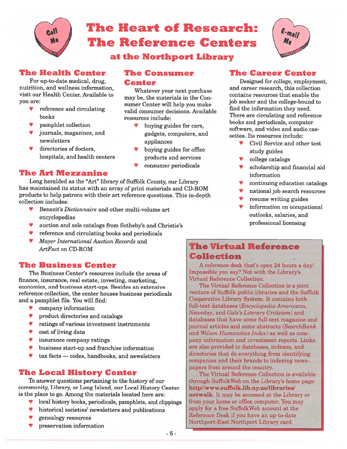

# The Heart of Research:The Reference Centers

at the Northport Library

#### The Health Center

For up-to-date medical, drug, nutrition, and weliness information, visit our Health Center. Available toyou are:

- reference and circulating books
- P9pamphlet collection
- V journals, magazines, and newsletters
- Vdirectories of doctors,

## hospitals, and health centers

#### The Consumer Center

Whatever your next purchase may be, the materials in the Con sumer Center will help you make valid consumer decisions. Availableresources include:

- appliances V buying guides for cars, gadgets, computers, and
- V buying guides for office products and services
- Vconsumer periodicals

#### Designed for college, employment, and career research, this collection

contains resources that enable thejob seeker and the college-bound to find the information they need. There are circulating and reference books and periodicals, computer software, and video and audio cas settes. Its resources include:

The Career Center

- V**V** Civil Service and other test study guides
- Vcollege catalogs
- V scholarship and financial aid information
- Vcontinuing education catalogs
- Vnational job search resources
- V $\bullet$  resume writing guides
- V information on occupational outlooks, salaries, and professional licensing

#### The Art Mezzanine

Long heralded as the "Art" library of Suffolk County, our Library has maintained its status with an array of print materials and CD-ROM products to help patrons with their art reference questions. This in-depth collection includes:

- V**Benezit's Dictionnaire and other multi-volume art** encyclopedias
- Vauction and sale catalogs from Sotheby's and Christie's
- V reference and circulating books and periodicals
- V Mayer International Auction Records and ArtFact on CD-ROM

#### The Business Center

The Business Center's resources include the areas of finance, insurance, real estate, investing, marketing, economics, and business start-ups. Besides an extensive reference collection, the center houses business periodicals and a pamphlet file. You will find:

- Vcompany information
- Vproduct directories and catalogs
- Vratings of various investment instruments
- Vcost of living data
- Vinsurance company ratings
- Vbusiness start-up and franchise information
- Vtax facts — codes, handbooks, and newsletters

#### The Local History Center

To answer questions pertaining to the history of our community, Library, or Long Island, our Local History Center is the place to go. Among the materials located here are

- V local history books, periodicals, pamphlets, and clippings
- Vhistorical societies' newsletters and publications
- Vgenealogy resources
- Vpreservation information

#### The Virtual ReferenceCollection

A reference desk that's open 24 hours <sup>a</sup> day! Impossible you say? Not with the Library's Virtual Reference Collection.

The Virtual Reference Collection is <sup>a</sup> joint venture of Suffolk public libraries and the Suffolk Cooperative Library System. It contains both full-text databases (Encyclopedia Americana, Newsday, and Gale's Literary Criticism) and databases that have some full-text magazine and journal articles and some abstracts (SearchBank and Wilson Humanities Index) as well as com pany information and investment reports. Links are also provided to databases, indexes, and directories that do everything from identifying companies and their brands to indexing news papers from around the country

The Virtual Reference Collection is available through SuffolkWeb on the Library's home page: http//www.suffolk.lib.ny.us/libraries/ netwalk. It may be accessed at the Library or from your home or office computer. You may apply for <sup>a</sup> free SuffolkWeb account at the Reference Desk if you have an up-to-date Northport-East Northport Library card.

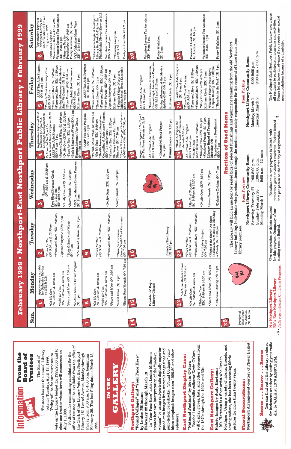vote on the Library budget for 1999/2000 and to vote on the Library budget for 1999/2000 and to elect one trustee whose term will commence on elect one trustee whose term will commence on Voting will be for two purposes: to Voting will be for two purposes: to vote for Tuesday, April 13, 1999. vote for Tuesday, April 13, 1999. July 1, 1999. July 1, 1999.

office of trustee will be available from the office of office of trustee will be available from the office of Petitions for nominating candidates for the the Clerk of the Library Vote at the Northport the Clerk of the Library Vote at the Northport Library, 151 Laurel Avenue, Monday through Petitions for nominating candidates for the Friday from 9:00 a.m. to 4:00 p.m. beginning<br>February 25. The last filing date is March 15, February 25. The last filing date is March 15, Library, 151 Laurel Avenue, Monday through Friday from 9:00 a.m. to 4:00 p.m. beginning 1999.



bines scrapbook images circa 1920-50 and other bines scrapbook images circa 1920-50 and other ephemera.

**East Northport Display Case:** East Northport Display Case: "National Pastime" by Kevin O'Gara "National Pastime" by Kevin O'Gara

will display gloves, bats, and other ephemera from will display gloves, bats, and other ephemera from Baseball memorabilia collector Kevin O'Gara Baseball memorabilia collector Kevin O'Gara the 1870s through the 1920s and 30s. the 1870s through the 1920s and 30s.

# Fabric Images by Judy Hartman **East Northport Gallery:** East Northport Gallery:

Northport. Using a variety of fabrics, threads, and Northport. Using a variety of fabrics, threads, and sewing notions, she has been creating fabric Ms. Hartman is a fiber artist who lives in sewing notions, she has been creating fabric Ms. Hartman is a fiber artist who lives in pictures for more than twenty years. Fabric Images by Judy Hartman pictures for more than twenty years.

**Floral Decorations:** Floral Decorations:

Northport: Arrangement courtesy of Flower Basket. Northport: Arrangement courtesy of Flower Basket.



for inclement weather by setting your radio<br>dial to WALK at 1370 AM/97.5 FM. You can find out if the Library is closed for inclement weather by setting your radio You can find out if the Library is closed **Mous** . . . wous . . . wous Snow - - - Snow - - Snow dial to WALK at 1370 AMJ97.5 FM.



| ĺ |
|---|
|   |
|   |
|   |
|   |
|   |
|   |
|   |
|   |
|   |
|   |
|   |
|   |
|   |
|   |
|   |
|   |
|   |

|                                                                                                                                                   | 1999<br><b>February</b>                                                                                                                                                                                                                  | Northport-East<br>$\bullet$                                                                                                                                                                                                       | thport<br>Nor                                                                                                                                                                                                                         | Public                                                                                                                                                                                                                                                                                                                                                                                                              | $\bullet$<br><b>TIPES ATT</b>                                                                                                                                                                                                                                                                                                                                       | 1999<br><b>February</b>                                                                                                                                                                                                                                                                                                                                                                                    |
|---------------------------------------------------------------------------------------------------------------------------------------------------|------------------------------------------------------------------------------------------------------------------------------------------------------------------------------------------------------------------------------------------|-----------------------------------------------------------------------------------------------------------------------------------------------------------------------------------------------------------------------------------|---------------------------------------------------------------------------------------------------------------------------------------------------------------------------------------------------------------------------------------|---------------------------------------------------------------------------------------------------------------------------------------------------------------------------------------------------------------------------------------------------------------------------------------------------------------------------------------------------------------------------------------------------------------------|---------------------------------------------------------------------------------------------------------------------------------------------------------------------------------------------------------------------------------------------------------------------------------------------------------------------------------------------------------------------|------------------------------------------------------------------------------------------------------------------------------------------------------------------------------------------------------------------------------------------------------------------------------------------------------------------------------------------------------------------------------------------------------------|
| Sun.                                                                                                                                              | Monday                                                                                                                                                                                                                                   | Tuesday                                                                                                                                                                                                                           | Wednesday                                                                                                                                                                                                                             | Thursday                                                                                                                                                                                                                                                                                                                                                                                                            | Friday                                                                                                                                                                                                                                                                                                                                                              | Saturday                                                                                                                                                                                                                                                                                                                                                                                                   |
|                                                                                                                                                   | *55/Alive Mature Driver Program<br>(N) 6 pm<br>Applications available<br>for Defensive Driving<br>on 2/22 & 2/24<br>$*Fours$ and More $(N)$ 1:30 pm<br>*Tales for Two<br>(EN) 9:30 am & 10:30 am<br>*On My Own<br>(N) 9:30 am & 10:30 am | *Fours and More (EN) 9:30 am<br>$7 \, \mathrm{pm}$<br>7pm<br>*Book & Sandwich (W)rap<br>*The World of Birds (N)<br>(EN)<br>*Tales for Two<br>(N) 9:30 am & 10:30 am<br>Pajama Storytime<br>$(M)$ $7$ pm<br>N                      | *55/Alive Mature Driver Program<br>$0.30$ am<br>*On My Own (EN) 1:30 pm<br>$p\bar{m}$<br>Free Blood Pressure Check (N) 1-2:15 pm<br>(K) 2:30-4 pm<br>3.30<br>$^{*Laptime}_{(N) 9:30\,am\ \&}$<br>*Story Parade (N)<br>$(M)$ 6 pm<br>n | *Book & Sandwich (W)rap (EN) 1 pm<br>*On My Own (EN) 9:30 & 10:30 am<br>*Parent/Child Wksp. (N) 9:30 am<br>Registration begins at East<br>Northport for Speech &<br>Language Development on<br>2/11 and at Northport for<br>Cleckenbird Hand Puppet on 2/18<br>*Tales for Two $(EN)$ 1:30 pm<br><b>NETWALK</b> Internet User Group<br>(N) 7:30 pm<br>AARP Tax-Aide Program<br>(EN) 9 am - 1 pm<br>4                 | AARP Tax-Aide Program<br>Friday Afternoon at the Movies:<br>Shall We Dance? $(N)$ 2 pm<br>*Fours and More $(EN)$ 1:30 pm<br>*Parent/Child Discovery Time<br>*Fours and More (N) 9:30 am<br>*Young Adult Book Reviewers<br>(EN) 4-5 pm<br>$(\underline{EN})$ 3:30 pm<br>Knitters' Circle (N) 7 pm<br>$(N)$ 9 am-1 pm<br>*Story Parade<br>$(EN)$ 9:30 am<br><b>SC</b> | Volunteer Income Tax Assistance<br>Registration begins at<br>Northport Library for<br>55/Alive Mature Driver<br>Ticket sales begin for<br>"Barefoot in the Park" on 2/26<br>*(YA) Valentine Heart Vase<br>(EN) 2-3:45 pm<br>$2\,\mathrm{pm}$<br>9:30 am<br>Program on 2/22<br>Poetry Workshop (N)<br>$\begin{array}{l}{\bf *Museum\ Day\ for}\\ {\bf Preschoders\ (N)}\end{array}$<br>(EN) 9 am-1 pm<br>10 |
| bee                                                                                                                                               | *Bisque Rose Wreath (N) 7:30 pm<br>$(N)$ 1:30 pm<br>*Tales for Two<br>(EN) 9:30 am & 10:30 am<br>*On My Own<br>(N) 9:30 am & 10:30 am<br>*Novel Ideas (N) 7 pm<br>*Fours and More<br>$\boldsymbol{\infty}$                               | <i>Fours and More</i> (EN) 9:30 am<br>*Open for Discussion:<br>Parent / Child Book Discussion<br>(N) 7:30 pm<br>*Tales for Two<br>(N) 9:30 am & 10:30 am<br>Ø                                                                     | *On My Own (EN) 1:30 pm<br>$m_d$<br>*Story Parade (N) 3:30<br>$\frac{1}{2}$                                                                                                                                                           | *Speech & Language Development<br>of 4-6 Year Olds (EN) 7:30 pm<br>Counseling & Assistance Program (EN) $1-4$ pm by appt.<br>*Parent/Child Wksp. (N) 9:30 am<br>${\rm AARP\, Tax\text{-}Aide\,Program}\atop (EN)\, 9\; am\text{-}1\; pm$<br>*Health Insurance Information,<br>Six Ways Retirees Ruin Their<br>*Tales for Two $(EN)$ 1:30 pm<br>9:30 am<br>Finances (N) 7:30 pm<br>*On My Own (EN)<br>$\overline{1}$ | AARP Tax-Aide Program<br>(N) 9 am-1 pm<br>*Fours and More (EN) 1:30 pm<br>Middle School Brass Ensemble<br>(EN) 7:30 pm<br>*Fours and More (N) 9:30 am<br>*Story Parade (EN) 3:30 pm<br>Pajama Storytime (N) 7 pm<br>*Fireside Friday: Northport<br>Knitters' Circle (N) 7 pm<br>*Novel Ideas (N) 1 pm<br>$\overline{2}$                                             | Tickets sales begin at Northport<br>Library for Book-A-Trip to the<br>Philadelphia Flower Show on 3/11<br>Volunteer Income Tax Assistance<br>Poetry in the Cafe (N) 2 pm<br>*Saturday Storytime<br>(EN) 9:30 am<br>$(EN)$ 9 am-1 pm<br>$\frac{3}{2}$                                                                                                                                                       |
|                                                                                                                                                   | <b>Presidents' Day</b><br>Library Closed<br>51                                                                                                                                                                                           | Friends of the Library<br>(N) 7:30 pm<br>91                                                                                                                                                                                       | Book<br><b>Me</b><br>E<br>5                                                                                                                                                                                                           | Registration begins at Northport<br>for Feathered Friends on 2/25<br>NETWALK Basics (N) 7:30 pm<br>*Cleckenbird Hand Puppet<br>AARP Tax-Aide Program<br>$(EN)$ 9 am-1 pm<br>$7$ pm<br>$\frac{8}{1}$<br><b>S</b>                                                                                                                                                                                                     | Counseling & Assistance Program<br>(N) 9:15 am-12:15 pm<br>Friday Afternoon at the Movies:<br>Spitfire Grill (N) 2 pm<br>*Health Insurance Information,<br>Knitters' Circle (N) 7 pm<br>AARP Tax-Aide Program<br>(N) 9 am-1 pm<br>$\mathbf{Q}$                                                                                                                      | Volunteer Income Tax Assistance<br>(EN) 9 am-1 pm<br>Poetry Workshop<br>(N) 2 pm<br>2 <sup>o</sup>                                                                                                                                                                                                                                                                                                         |
|                                                                                                                                                   | *55/Alive Mature Driver<br>Program (N) 9:30 am<br>*Fours and More $(N)$ 1:30 pm<br>*Defensive Driving (N) 7 pm<br>*Tales for Two<br>(EN)  9:30 am & 10:30 am<br>*On My Own<br>(N) 9:30 am & 10:30 am<br>$\overline{2}$                   | "Flight of the Stork." An Open<br>Discussion on Making & Blending<br>a Family (N) $7:30$ pm<br>*Fours and More (EN) 9:30 am<br>*Tales for Two<br>(N) 9:30 am & 10:30 am<br>Oral History Project<br>(N) 7:30 pm<br>$\overline{23}$ | $7\,\mathrm{pm}$<br>*On My Own (EN) 1:30 pm<br>md <sub>.</sub><br>*My First Storytime<br>(N) 9:30 am & 10:30 am<br>*Story Parade (N) 3:30<br>$\widehat{\mathbf{g}}$<br>*Defensive Driving<br>$\frac{2}{3}$                            | *Book-A-Trip to the<br>New York Philharmonic<br>*Feathered Friends $(N)$ 4 pm<br>*Tales for Two $(EN)$ 1:30 pm<br>Library Board of Trustees<br>*Introduction to Needlepoint<br>$(EN)$ 9:30 am & 10:30 am<br>AARP Tax-Aide Program<br>departs 7:30 am<br>$9$ am-1 pm<br>Meeting (N)<br>*On My Own<br>(EN) 7 pm<br>(EN)<br>$\frac{25}{2}$                                                                             | *"Barefoot in the Park" (N) 8 pm<br>AARP Tax-Aide Program<br>$*$ Fours and More (EN) 1:30 pm<br>*Fireside Friday: Poets Night<br>& Open Reading (EN) 7:30 pm<br>*Fours and More (N) 9:30 am<br>*Story Parade (EN) 3:30 pm<br>Knitters' Circle (EN) 7 pm<br>*Parent/Child Workshop<br>$(N)$ 9 am-1 pm<br>$EN$ ) 9:30 am<br>26                                        | Volunteer Income Tax Assistance<br>(EN) 9 am - 1 pm<br>$2\,\mathrm{pm}$<br>Preview of Used Items<br>for Auction (N) 1-5 pm<br>Poetry Workshop (N)<br>27                                                                                                                                                                                                                                                    |
| $\begin{array}{l} \mbox{Preview of}\\ \mbox{Used items}\\ \mbox{for Auttion}\\ \mbox{(N)}\ 1-5\ \mbox{pm} \end{array}$<br>$\overline{\mathbf{S}}$ | 旱<br><b>Buy</b>                                                                                                                                                                                                                          | The Library will hold an auction (by sealed<br>Library building. Individuals who purchase iter<br>library premises                                                                                                                | Northport Library Community Room<br>$-5:00$ p.m.<br>$1:00-5:00$ p.m.<br>a.m.<br>1:00<br>00:6<br><b>Item Preview</b><br>Saturday, February 27<br>Sunday, February 28<br>Monday, March 1                                                | ms through the auction are solely responsible for the removal of these items from<br>bids) of selected furnishings and equipment remaining from the old Northport<br>Monday, March 1<br>Tuesday, March<br><b>Used Items</b><br><b>Auction of</b><br>$-12$ noon                                                                                                                                                      | Northport Library Community Room<br>$6:00-9:00 p.m.$<br>9:00 a.m.<br><b>Item Pickup</b><br>$\boldsymbol{\alpha}$                                                                                                                                                                                                                                                    | $-5:00$ p.m.                                                                                                                                                                                                                                                                                                                                                                                               |
| KR<br>Z                                                                                                                                           | Italic type indicates Children's Programs.<br>= East Northport Library<br>= Northport Library                                                                                                                                            | *Pre-registration or tickets required<br>for this program. Occupancy of our<br>meeting room is limited.                                                                                                                           | preference given to district residents. Tickets limited<br>to 2 per patron on the first day of registration.<br>Enrollment in                                                                                                         | $\overline{7}$<br>our programs is limited, with                                                                                                                                                                                                                                                                                                                                                                     |                                                                                                                                                                                                                                                                                                                                                                     | The Northport-East Northport Public Library encourages<br>Please let us know in advance if you require any special<br>all residents to participate in programs and activities                                                                                                                                                                                                                              |

accommodations because of a disability.

accommodations because of a disability.